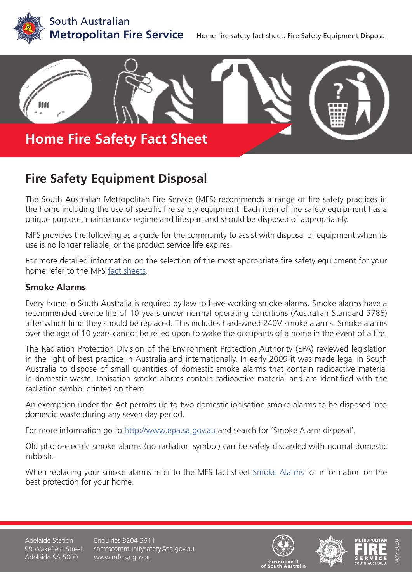



# **Fire Safety Equipment Disposal**

The South Australian Metropolitan Fire Service (MFS) recommends a range of fire safety practices in the home including the use of specific fire safety equipment. Each item of fire safety equipment has a unique purpose, maintenance regime and lifespan and should be disposed of appropriately.

MFS provides the following as a guide for the community to assist with disposal of equipment when its use is no longer reliable, or the product service life expires.

For more detailed information on the selection of the most appropriate fire safety equipment for your home refer to the MFS [fact sheets.](https://www.mfs.sa.gov.au/community/safety-and-education/fact-sheets-and-brochures)

# **Smoke Alarms**

Every home in South Australia is required by law to have working smoke alarms. Smoke alarms have a recommended service life of 10 years under normal operating conditions (Australian Standard 3786) after which time they should be replaced. This includes hard-wired 240V smoke alarms. Smoke alarms over the age of 10 years cannot be relied upon to wake the occupants of a home in the event of a fire.

The Radiation Protection Division of the Environment Protection Authority (EPA) reviewed legislation in the light of best practice in Australia and internationally. In early 2009 it was made legal in South Australia to dispose of small quantities of domestic smoke alarms that contain radioactive material in domestic waste. Ionisation smoke alarms contain radioactive material and are identified with the radiation symbol printed on them.

An exemption under the Act permits up to two domestic ionisation smoke alarms to be disposed into domestic waste during any seven day period.

For more information go to <http://www.epa.sa.gov.au>and search for 'Smoke Alarm disposal'.

Old photo-electric smoke alarms (no radiation symbol) can be safely discarded with normal domestic rubbish.

When replacing your smoke alarms refer to the MFS fact sheet [Smoke Alarms](https://www.mfs.sa.gov.au/community/safety-and-education/fact-sheets-and-brochures/fact-sheet-pages/smoke-alarms) for information on the best protection for your home.

Adelaide Station 99 Wakefield Street Adelaide SA 5000

Enquiries 8204 3611 samfscommunitysafety@sa.gov.au www.mfs.sa.gov.au







NOV 2020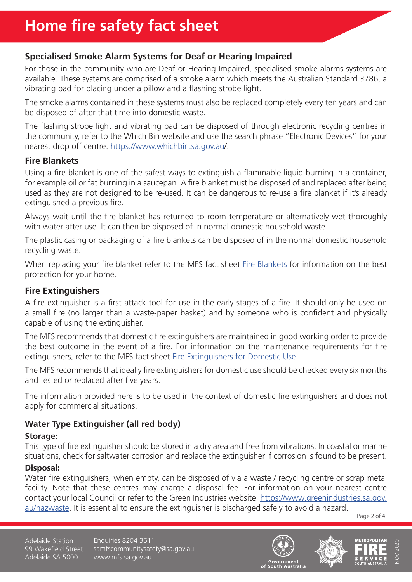# **Specialised Smoke Alarm Systems for Deaf or Hearing Impaired**

For those in the community who are Deaf or Hearing Impaired, specialised smoke alarms systems are available. These systems are comprised of a smoke alarm which meets the Australian Standard 3786, a vibrating pad for placing under a pillow and a flashing strobe light.

The smoke alarms contained in these systems must also be replaced completely every ten years and can be disposed of after that time into domestic waste.

The flashing strobe light and vibrating pad can be disposed of through electronic recycling centres in the community, refer to the Which Bin website and use the search phrase "Electronic Devices" for your nearest drop off centre: <https://www.whichbin.sa.gov.au>/.

# **Fire Blankets**

Using a fire blanket is one of the safest ways to extinguish a flammable liquid burning in a container, for example oil or fat burning in a saucepan. A fire blanket must be disposed of and replaced after being used as they are not designed to be re-used. It can be dangerous to re-use a fire blanket if it's already extinguished a previous fire.

Always wait until the fire blanket has returned to room temperature or alternatively wet thoroughly with water after use. It can then be disposed of in normal domestic household waste.

The plastic casing or packaging of a fire blankets can be disposed of in the normal domestic household recycling waste.

When replacing your fire blanket refer to the MFS fact sheet [Fire Blankets](https://www.mfs.sa.gov.au/community/safety-and-education/fact-sheets-and-brochures/fact-sheet-pages/fire-blankets) for information on the best protection for your home.

# **Fire Extinguishers**

A fire extinguisher is a first attack tool for use in the early stages of a fire. It should only be used on a small fire (no larger than a waste-paper basket) and by someone who is confident and physically capable of using the extinguisher.

The MFS recommends that domestic fire extinguishers are maintained in good working order to provide the best outcome in the event of a fire. For information on the maintenance requirements for fire extinguishers, refer to the MFS fact sheet [Fire Extinguishers for Domestic Use.](https://www.mfs.sa.gov.au/community/safety-and-education/fact-sheets-and-brochures/fact-sheet-pages/fire-extinguishers-for-domestic-use)

The MFS recommends that ideally fire extinguishers for domestic use should be checked every six months and tested or replaced after five years.

The information provided here is to be used in the context of domestic fire extinguishers and does not apply for commercial situations.

# **Water Type Extinguisher (all red body)**

# **Storage:**

This type of fire extinguisher should be stored in a dry area and free from vibrations. In coastal or marine situations, check for saltwater corrosion and replace the extinguisher if corrosion is found to be present.

# **Disposal:**

Water fire extinguishers, when empty, can be disposed of via a waste / recycling centre or scrap metal facility. Note that these centres may charge a disposal fee. For information on your nearest centre contact your local Council or refer to the Green Industries website: [https://www.greenindustries.sa.gov.](https://www.greenindustries.sa.gov.au/hazwaste) [au/hazwaste](https://www.greenindustries.sa.gov.au/hazwaste). It is essential to ensure the extinguisher is discharged safely to avoid a hazard.

Page 2 of 4

Adelaide Station 99 Wakefield Street Adelaide SA 5000

Enquiries 8204 3611 samfscommunitysafety@sa.gov.au www.mfs.sa.gov.au





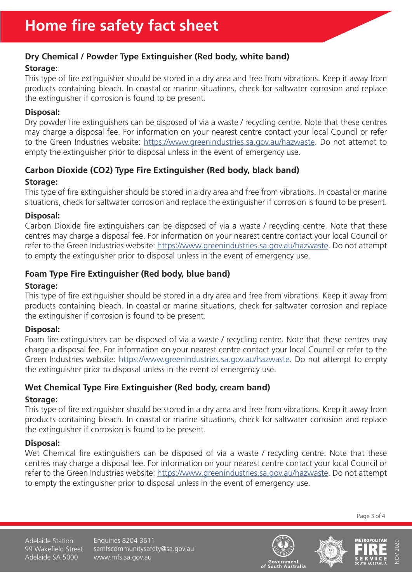# **Dry Chemical / Powder Type Extinguisher (Red body, white band)**

# **Storage:**

This type of fire extinguisher should be stored in a dry area and free from vibrations. Keep it away from products containing bleach. In coastal or marine situations, check for saltwater corrosion and replace the extinguisher if corrosion is found to be present.

#### **Disposal:**

Dry powder fire extinguishers can be disposed of via a waste / recycling centre. Note that these centres may charge a disposal fee. For information on your nearest centre contact your local Council or refer to the Green Industries website: [https://www.greenindustries.sa.gov.au/hazwaste.](https://www.greenindustries.sa.gov.au/hazwaste) Do not attempt to empty the extinguisher prior to disposal unless in the event of emergency use.

# **Carbon Dioxide (CO2) Type Fire Extinguisher (Red body, black band)**

#### **Storage:**

This type of fire extinguisher should be stored in a dry area and free from vibrations. In coastal or marine situations, check for saltwater corrosion and replace the extinguisher if corrosion is found to be present.

#### **Disposal:**

Carbon Dioxide fire extinguishers can be disposed of via a waste / recycling centre. Note that these centres may charge a disposal fee. For information on your nearest centre contact your local Council or refer to the Green Industries website:<https://www.greenindustries.sa.gov.au/hazwaste>. Do not attempt to empty the extinguisher prior to disposal unless in the event of emergency use.

# **Foam Type Fire Extinguisher (Red body, blue band)**

#### **Storage:**

This type of fire extinguisher should be stored in a dry area and free from vibrations. Keep it away from products containing bleach. In coastal or marine situations, check for saltwater corrosion and replace the extinguisher if corrosion is found to be present.

# **Disposal:**

Foam fire extinguishers can be disposed of via a waste / recycling centre. Note that these centres may charge a disposal fee. For information on your nearest centre contact your local Council or refer to the Green Industries website: [https://www.greenindustries.sa.gov.au/hazwaste.](https://www.greenindustries.sa.gov.au/hazwaste) Do not attempt to empty the extinguisher prior to disposal unless in the event of emergency use.

# **Wet Chemical Type Fire Extinguisher (Red body, cream band)**

# **Storage:**

This type of fire extinguisher should be stored in a dry area and free from vibrations. Keep it away from products containing bleach. In coastal or marine situations, check for saltwater corrosion and replace the extinguisher if corrosion is found to be present.

# **Disposal:**

Wet Chemical fire extinguishers can be disposed of via a waste / recycling centre. Note that these centres may charge a disposal fee. For information on your nearest centre contact your local Council or refer to the Green Industries website:<https://www.greenindustries.sa.gov.au/hazwaste>. Do not attempt to empty the extinguisher prior to disposal unless in the event of emergency use.

Page 3 of 4

Adelaide Station 99 Wakefield Street Adelaide SA 5000

Enquiries 8204 3611 samfscommunitysafety@sa.gov.au www.mfs.sa.gov.au